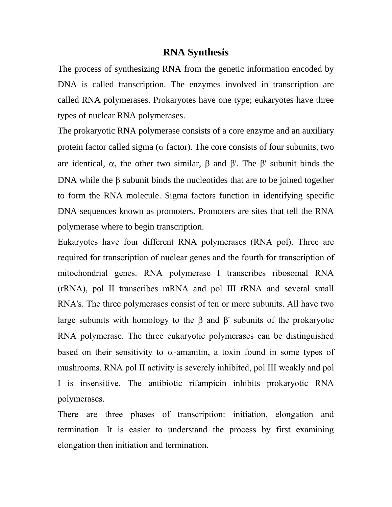### **RNA Synthesis**

The process of synthesizing RNA from the genetic information encoded by DNA is called transcription. The enzymes involved in transcription are called RNA polymerases. Prokaryotes have one type; eukaryotes have three types of nuclear RNA polymerases.

The prokaryotic RNA polymerase consists of a core enzyme and an auxiliary protein factor called sigma ( $\sigma$  factor). The core consists of four subunits, two are identical,  $\alpha$ , the other two similar,  $\beta$  and  $\beta'$ . The  $\beta'$  subunit binds the DNA while the  $\beta$  subunit binds the nucleotides that are to be joined together to form the RNA molecule. Sigma factors function in identifying specific DNA sequences known as promoters. Promoters are sites that tell the RNA polymerase where to begin transcription.

Eukaryotes have four different RNA polymerases (RNA pol). Three are required for transcription of nuclear genes and the fourth for transcription of mitochondrial genes. RNA polymerase I transcribes ribosomal RNA (rRNA), pol II transcribes mRNA and pol III tRNA and several small RNA's. The three polymerases consist of ten or more subunits. All have two large subunits with homology to the  $\beta$  and  $\beta'$  subunits of the prokaryotic RNA polymerase. The three eukaryotic polymerases can be distinguished based on their sensitivity to  $\alpha$ -amanitin, a toxin found in some types of mushrooms. RNA pol II activity is severely inhibited, pol III weakly and pol I is insensitive. The antibiotic rifampicin inhibits prokaryotic RNA polymerases.

There are three phases of transcription: initiation, elongation and termination. It is easier to understand the process by first examining elongation then initiation and termination.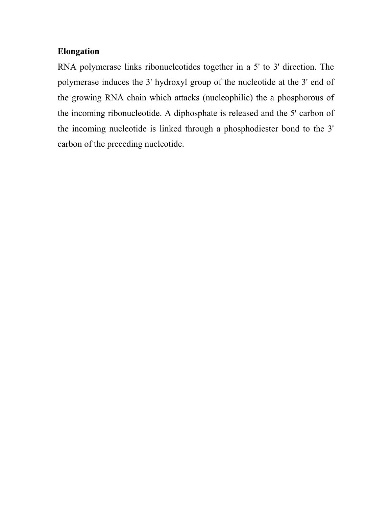# **Elongation**

RNA polymerase links ribonucleotides together in a 5' to 3' direction. The polymerase induces the 3' hydroxyl group of the nucleotide at the 3' end of the growing RNA chain which attacks (nucleophilic) the a phosphorous of the incoming ribonucleotide. A diphosphate is released and the 5' carbon of the incoming nucleotide is linked through a phosphodiester bond to the 3' carbon of the preceding nucleotide.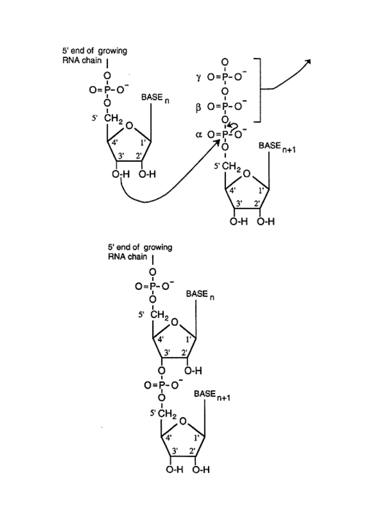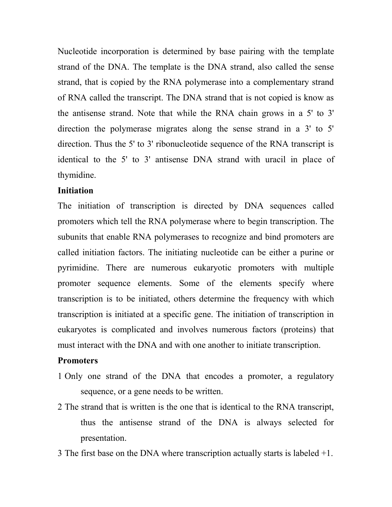Nucleotide incorporation is determined by base pairing with the template strand of the DNA. The template is the DNA strand, also called the sense strand, that is copied by the RNA polymerase into a complementary strand of RNA called the transcript. The DNA strand that is not copied is know as the antisense strand. Note that while the RNA chain grows in a 5' to 3' direction the polymerase migrates along the sense strand in a 3' to 5' direction. Thus the 5' to 3' ribonucleotide sequence of the RNA transcript is identical to the 5' to 3' antisense DNA strand with uracil in place of thymidine.

### **Initiation**

The initiation of transcription is directed by DNA sequences called promoters which tell the RNA polymerase where to begin transcription. The subunits that enable RNA polymerases to recognize and bind promoters are called initiation factors. The initiating nucleotide can be either a purine or pyrimidine. There are numerous eukaryotic promoters with multiple promoter sequence elements. Some of the elements specify where transcription is to be initiated, others determine the frequency with which transcription is initiated at a specific gene. The initiation of transcription in eukaryotes is complicated and involves numerous factors (proteins) that must interact with the DNA and with one another to initiate transcription.

#### **Promoters**

- 1 Only one strand of the DNA that encodes a promoter, a regulatory sequence, or a gene needs to be written.
- 2 The strand that is written is the one that is identical to the RNA transcript, thus the antisense strand of the DNA is always selected for presentation.
- 3 The first base on the DNA where transcription actually starts is labeled +1.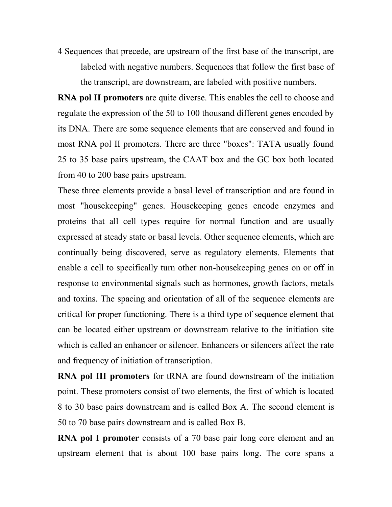4 Sequences that precede, are upstream of the first base of the transcript, are labeled with negative numbers. Sequences that follow the first base of the transcript, are downstream, are labeled with positive numbers.

**RNA pol II promoters** are quite diverse. This enables the cell to choose and regulate the expression of the 50 to 100 thousand different genes encoded by its DNA. There are some sequence elements that are conserved and found in most RNA pol II promoters. There are three "boxes": TATA usually found 25 to 35 base pairs upstream, the CAAT box and the GC box both located from 40 to 200 base pairs upstream.

These three elements provide a basal level of transcription and are found in most "housekeeping" genes. Housekeeping genes encode enzymes and proteins that all cell types require for normal function and are usually expressed at steady state or basal levels. Other sequence elements, which are continually being discovered, serve as regulatory elements. Elements that enable a cell to specifically turn other non-housekeeping genes on or off in response to environmental signals such as hormones, growth factors, metals and toxins. The spacing and orientation of all of the sequence elements are critical for proper functioning. There is a third type of sequence element that can be located either upstream or downstream relative to the initiation site which is called an enhancer or silencer. Enhancers or silencers affect the rate and frequency of initiation of transcription.

**RNA pol III promoters** for tRNA are found downstream of the initiation point. These promoters consist of two elements, the first of which is located 8 to 30 base pairs downstream and is called Box A. The second element is 50 to 70 base pairs downstream and is called Box B.

**RNA pol I promoter** consists of a 70 base pair long core element and an upstream element that is about 100 base pairs long. The core spans a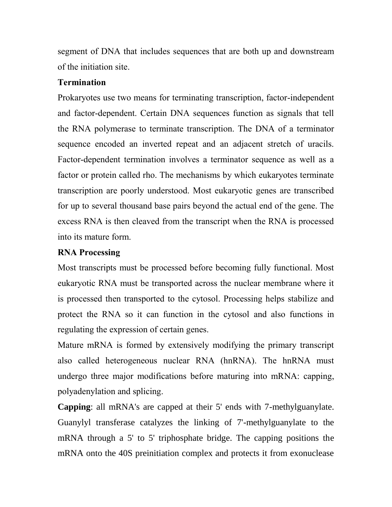segment of DNA that includes sequences that are both up and downstream of the initiation site.

## **Termination**

Prokaryotes use two means for terminating transcription, factor-independent and factor-dependent. Certain DNA sequences function as signals that tell the RNA polymerase to terminate transcription. The DNA of a terminator sequence encoded an inverted repeat and an adjacent stretch of uracils. Factor-dependent termination involves a terminator sequence as well as a factor or protein called rho. The mechanisms by which eukaryotes terminate transcription are poorly understood. Most eukaryotic genes are transcribed for up to several thousand base pairs beyond the actual end of the gene. The excess RNA is then cleaved from the transcript when the RNA is processed into its mature form.

# **RNA Processing**

Most transcripts must be processed before becoming fully functional. Most eukaryotic RNA must be transported across the nuclear membrane where it is processed then transported to the cytosol. Processing helps stabilize and protect the RNA so it can function in the cytosol and also functions in regulating the expression of certain genes.

Mature mRNA is formed by extensively modifying the primary transcript also called heterogeneous nuclear RNA (hnRNA). The hnRNA must undergo three major modifications before maturing into mRNA: capping, polyadenylation and splicing.

**Capping**: all mRNA's are capped at their 5' ends with 7-methylguanylate. Guanylyl transferase catalyzes the linking of 7'-methylguanylate to the mRNA through a 5' to 5' triphosphate bridge. The capping positions the mRNA onto the 40S preinitiation complex and protects it from exonuclease